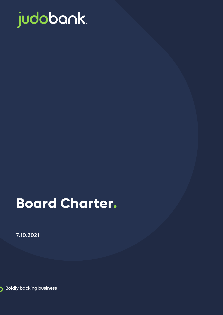

# **Board Charter.**

7.10.2021

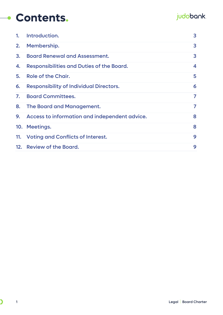#### judobank.

| 1. | Introduction.                                    | 3 |
|----|--------------------------------------------------|---|
| 2. | Membership.                                      | 3 |
| 3. | <b>Board Renewal and Assessment.</b>             | 3 |
| 4. | <b>Responsibilities and Duties of the Board.</b> | 4 |
| 5. | Role of the Chair.                               | 5 |
| 6. | <b>Responsibility of Individual Directors.</b>   | 6 |
| 7. | <b>Board Committees.</b>                         | 7 |
|    | 8. The Board and Management.                     | 7 |
|    | 9. Access to information and independent advice. | 8 |
|    | 10. Meetings.                                    | 8 |
|    | 11. Voting and Conflicts of Interest.            | 9 |
|    | 12. Review of the Board.                         | 9 |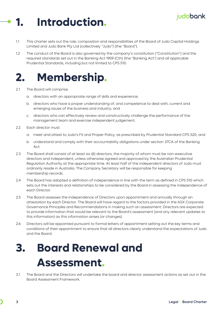## <span id="page-2-0"></span>**1. Introduction.**

- 1.1 This charter sets out the role, composition and responsibilities of the Board of Judo Capital Holdings Limited and Judo Bank Pty Ltd (collectively "Judo") (the "Board").
- 1.2 The conduct of the Board is also governed by the company's constitution ("Constitution") and the required standards set out in the Banking Act 1959 (Cth) (the "Banking Act") and all applicable Prudential Standards, including but not limited to CPS 510.

#### <span id="page-2-1"></span>**2. Membership.**

- 2.1 The Board will comprise:
	- a. directors with an appropriate range of skills and experience;
	- b. directors who have a proper understanding of, and competence to deal with, current and emerging issues of the business and industry; and
	- c. directors who can effectively review and constructively challenge the performance of the management team and exercise independent judgement.
- 2.2 **Each director must:** 
	- a. meet and attest to Judo's Fit and Proper Policy, as prescribed by Prudential Standard CPS 520; and
	- b. understand and comply with their accountability obligations under section 37CA of the Banking Act.
- 2.3 The Board shall consist of at least six (6) directors, the majority of whom must be non-executive directors and independent, unless otherwise agreed and approved by the Australian Prudential Regulation Authority at the appropriate time. At least half of the independent directors of Judo must ordinarily reside in Australia. The Company Secretary will be responsible for keeping membership records.
- 2.4 The Board has adopted a definition of independence in line with the term as defined in CPS 510 which sets out the interests and relationships to be considered by the Board in assessing the independence of each Director.
- 2.5 The Board assesses the independence of Directors upon appointment and annually through an attestation by each Director. The Board will have regard to the factors provided in the ASX Corporate Governance Principles and Recommendations in making such an assessment. Directors are expected to provide information that would be relevant to the Board's assessment (and any relevant updates to this information) as this information arises (or changes).
- 2.6 Directors will be appointed pursuant to formal letters of appointment setting out the key terms and conditions of their appointment to ensure that all directors clearly understand the expectations of Judo and the Board.

## <span id="page-2-2"></span>**3. Board Renewal and Assessment.**

3.1 The Board and the Directors will undertake the board and director assessment actions as set out in the Board Assessment Framework.

judobank.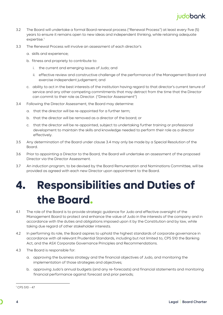

- 3.2 The Board will undertake a formal Board renewal process ("Renewal Process") at least every five (5) years to ensure it remains open to new ideas and independent thinking, while retaining adequate expertise.<sup>[1](#page-3-1)</sup>
- 3.3 The Renewal Process will involve an assessment of each director's
	- a. skills and experience;
	- b. fitness and propriety to contribute to:
		- i. the current and emerging issues of Judo; and
		- ii. effective review and constructive challenge of the performance of the Management Board and exercise independent judgement; and
	- c. ability to act in the best interests of the institution having regard to that director's current tenure of service and any other competing commitments that may detract from the time that the Director can commit to their role as Director. ("Director Assessment")
- 3.4 Following the Director Assessment, the Board may determine:
	- a. that the director will be re-appointed for a further term;
	- b. that the director will be removed as a director of the board; or
	- c. that the director will be re-appointed, subject to undertaking further training or professional development to maintain the skills and knowledge needed to perform their role as a director effectively.
- 3.5 Any determination of the Board under clause 3.4 may only be made by a Special Resolution of the Board.
- 3.6 Prior to appointing a Director to the Board, the Board will undertake an assessment of the proposed Director via the Director Assessment.
- 3.7 An induction program, to be devised by the Board Remuneration and Nominations Committee, will be provided as agreed with each new Director upon appointment to the Board.

## <span id="page-3-0"></span>**4. Responsibilities and Duties of the Board.**

- 4.1 The role of the Board is to provide strategic guidance for Judo and effective oversight of the Management Board to protect and enhance the value of Judo in the interests of the company and in accordance with the duties and obligations imposed upon it by the Constitution and by law, while taking due regard of other stakeholder interests.
- 4.2 In performing its role, the Board aspires to uphold the highest standards of corporate governance in accordance with all relevant Prudential Standards, including but not limited to, CPS 510 the Banking Act, and the ASX Corporate Governance Principles and Recommendations.
- 4.3 The Board is responsible for:
	- a. approving the business strategy and the financial objectives of Judo, and monitoring the implementation of those strategies and objectives;
	- b. approving Judo's annual budgets (and any re-forecasts) and financial statements and monitoring financial performance against forecast and prior periods;

<span id="page-3-1"></span><sup>1</sup> CPS 510 - 47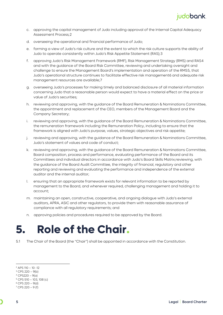- c. approving the capital management of Judo including approval of the Internal Capital Adequacy Assessment Process;[2](#page-4-1)
- d. overseeing the operational and financial performance of Judo;
- e. forming a view of Judo's risk culture and the extent to which the risk culture supports the ability of Judo to operate consistently within Judo's Risk Appetite Statement (RAS);[3](#page-4-2)
- f. approving Judo's Risk Management Framework (RMF), Risk Management Strategy (RMS) and RAS[4](#page-4-3) and with the guidance of the Board Risk Committee, reviewing and undertaking oversight and challenge to ensure the Management Board's implementation and operation of the RMS[5,](#page-4-4) that Judo's operational structure continues to facilitate effective risk management[6](#page-4-5) and adequate risk management resources are available;[7](#page-4-6)
- g. overseeing Judo's processes for making timely and balanced disclosure of all material information concerning Judo that a reasonable person would expect to have a material effect on the price or value of Judo's securities;
- h. reviewing and approving, with the guidance of the Board Remuneration & Nominations Committee, the appointment and replacement of the CEO, members of the Management Board and the Company Secretary;
- i. reviewing and approving, with the guidance of the Board Remuneration & Nominations Committee, the remuneration framework including the Remuneration Policy, including to ensure that the framework is aligned with Judo's purpose, values, strategic objectives and risk appetite;
- j. reviewing and approving, with the guidance of the Board Remuneration & Nominations Committee, Judo's statement of values and code of conduct;
- k. reviewing and approving, with the guidance of the Board Remuneration & Nominations Committee, Board composition, process and performance, evaluating performance of the Board and its Committees and individual directors in accordance with Judo's Board Skills Matrix;reviewing, with the guidance of the Board Audit Committee, the integrity of financial, regulatory and other reporting and reviewing and evaluating the performance and independence of the external auditor and the internal auditor;
- l. ensuring that an appropriate framework exists for relevant information to be reported by management to the Board, and whenever required, challenging management and holding it to account;
- m. maintaining an open, constructive, cooperative, and ongoing dialogue with Judo's external auditors, APRA, ASIC and other regulators, to provide them with reasonable assurance of compliance with all regulatory requirements; and
- n. approving policies and procedures required to be approved by the Board.

### <span id="page-4-0"></span>**5. Role of the Chair.**

5.1 The Chair of the Board (the "Chair") shall be appointed in accordance with the Constitution.

<span id="page-4-1"></span><sup>2</sup> APS 110 – 10 -12

<span id="page-4-2"></span> $3$  CPS 220 – 9(b)

<span id="page-4-3"></span> $4$  CPS220 – 9(a)

<span id="page-4-4"></span> $5$  CPS 510 – 103, 108 (c)

<span id="page-4-5"></span><sup>6</sup> CPS 220 – 9(d)

<span id="page-4-6"></span> $7$  CPS 220 – 9 (f)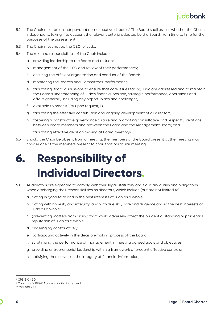#### judobank.

- 5.2 The Chair must be an independent non-executive director.<sup>[8](#page-5-1)</sup> The Board shall assess whether the Chair is independent, taking into account the relevant criteria adopted by the Board, from time to time for the purposes of the assessment.
- 5.3 The Chair must not be the CEO of Judo.
- 5.4 The role and responsibilities of the Chair include:
	- a. providing leadership to the Board and to Judo;
	- b. management of the CEO and review of their performance[9](#page-5-2);
	- c. ensuring the efficient organisation and conduct of the Board;
	- d. monitoring the Board's and Committees' performance;
	- e. facilitating Board discussions to ensure that core issues facing Judo are addressed and to maintain the Board's understanding of Judo's financial position, strategic performance, operations and affairs generally including any opportunities and challenges;
	- f. available to meet APRA upon request;[10](#page-5-3)
	- g. facilitating the effective contribution and ongoing development of all directors;
	- h. fostering a constructive governance culture and promoting consultative and respectful relations between Board members and between the Board and the Management Board; and
	- i. facilitating effective decision making at Board meetings.
- 5.5 Should the Chair be absent from a meeting, the members of the Board present at the meeting may choose one of the members present to chair that particular meeting.

## <span id="page-5-0"></span>**6. Responsibility of Individual Directors.**

- 6.1 All directors are expected to comply with their legal, statutory and fiduciary duties and obligations when discharging their responsibilities as directors, which include (but are not limited to):
	- a. acting in good faith and in the best interests of Judo as a whole;
	- b. acting with honesty and integrity, and with due skill, care and diligence and in the best interests of Judo as a whole;
	- c. (preventing matters from arising that would adversely affect the prudential standing or prudential reputation of Judo as a whole;
	- d. challenging constructively;
	- e. participating actively in the decision-making process of the Board;
	- f. scrutinising the performance of management in meeting agreed goals and objectives;
	- g. providing entrepreneurial leadership within a framework of prudent effective controls;
	- h. satisfying themselves on the integrity of financial information;

<span id="page-5-1"></span><sup>8</sup> CPS 510 - 30

<span id="page-5-2"></span><sup>&</sup>lt;sup>9</sup> Chairman's BEAR Accountability Statement

<span id="page-5-3"></span><sup>10</sup> CPS 510 - 33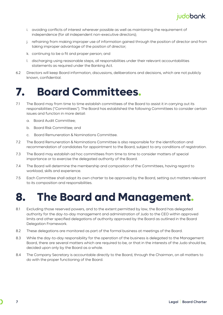

- i. avoiding conflicts of interest wherever possible as well as maintaining the requirement of independence (for all independent non-executive directors);
- j. refraining from making improper use of information gained through the position of director and from taking improper advantage of the position of director;
- k. continuing to be a fit and proper person; and
- l. discharging using reasonable steps, all responsibilities under their relevant accountabilities statements as required under the Banking Act.
- 6.2 Directors will keep Board information, discussions, deliberations and decisions, which are not publicly known, confidential.

### <span id="page-6-0"></span>**7. Board Committees.**

- 7.1 The Board may from time to time establish committees of the Board to assist it in carrying out its responsibilities ("Committees"). The Board has established the following Committees to consider certain issues and function in more detail:
	- a. Board Audit Committee;
	- b. Board Risk Committee; and
	- c. Board Remuneration & Nominations Committee.
- 7.2 The Board Remuneration & Nominations Committee is also responsible for the identification and recommendation of candidates for appointment to the Board, subject to any conditions of registration.
- 7.3 The Board may establish ad hoc committees from time to time to consider matters of special importance or to exercise the delegated authority of the Board.
- 7.4 The Board will determine the membership and composition of the Committees, having regard to workload, skills and experience.
- 7.5 Each Committee shall adopt its own charter to be approved by the Board, setting out matters relevant to its composition and responsibilities.

#### <span id="page-6-1"></span>**8. The Board and Management.**

- 8.1 Excluding those reserved powers, and to the extent permitted by law, the Board has delegated authority for the day-to-day management and administration of Judo to the CEO within approved limits and other specified delegations of authority approved by the Board as outlined in the Board Delegation Framework.
- 8.2 These delegations are monitored as part of the formal business at meetings of the Board.
- 8.3 While the day-to-day responsibility for the operation of the business is delegated to the Management Board, there are several matters which are required to be, or that in the interests of the Judo should be, decided upon only by the Board as a whole.
- 8.4 The Company Secretary is accountable directly to the Board, through the Chairman, on all matters to do with the proper functioning of the Board.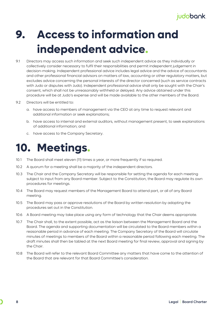## <span id="page-7-0"></span>**9. Access to information and independent advice.**

- 9.1 Directors may access such information and seek such independent advice as they individually or collectively consider necessary to fulfil their responsibilities and permit independent judgement in decision-making. Independent professional advice includes legal advice and the advice of accountants and other professional financial advisors on matters of law, accounting or other regulatory matters, but excludes advice concerning the personal interests of the director concerned (such as service contracts with Judo or disputes with Judo). Independent professional advice shall only be sought with the Chair's consent, which shall not be unreasonably withheld or delayed. Any advice obtained under this procedure will be at Judo's expense and will be made available to the other members of the Board.
- 9.2 Directors will be entitled to:
	- a. have access to members of management via the CEO at any time to request relevant and additional information or seek explanations;
	- b. have access to internal and external auditors, without management present, to seek explanations of additional information; and
	- c. have access to the Company Secretary.

### <span id="page-7-1"></span>**10. Meetings.**

- 10.1 The Board shall meet eleven (11) times a year, or more frequently if so required.
- 10.2 A quorum for a meeting shall be a majority of the independent directors.
- 10.3 The Chair and the Company Secretary will be responsible for setting the agenda for each meeting subject to input from any Board member. Subject to the Constitution, the Board may regulate its own procedures for meetings.
- 10.4 The Board may request members of the Management Board to attend part, or all of any Board meeting.
- 10.5 The Board may pass or approve resolutions of the Board by written resolution by adopting the procedures set out in the Constitution.
- 10.6 A Board meeting may take place using any form of technology that the Chair deems appropriate.
- 10.7 The Chair shall, to the extent possible, act as the liaison between the Management Board and the Board. The agenda and supporting documentation will be circulated to the Board members within a reasonable period in advance of each meeting. The Company Secretary of the Board will circulate minutes of meetings to members of the Board within a reasonable period following each meeting. The draft minutes shall then be tabled at the next Board meeting for final review, approval and signing by the Chair.
- 10.8 The Board will refer to the relevant Board Committee any matters that have come to the attention of the Board that are relevant for that Board Committee's consideration.